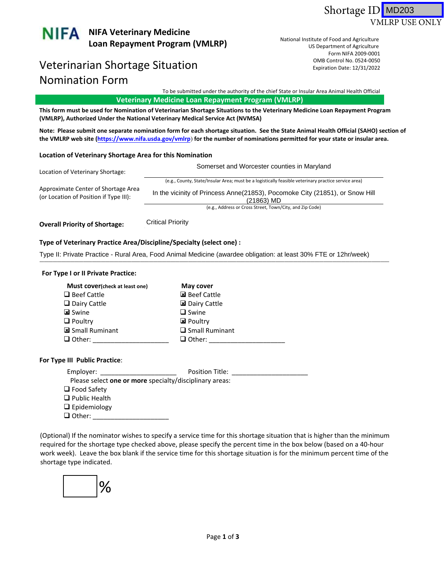



# Veterinarian Shortage Situation and the control No. 0524-0050 Nomination Form

US Department of Agriculture Form NIFA 2009-0001 US Department of Agriculture<br>Form NIFA 2009‐0001<br>OMB Control No. 0524‐0050 National Institute of Food and Agriculture Expiration Date: 12/31/2022

To be submitted under the authority of the chief State or Insular Area Animal Health Official

 **Veterinary Medicine Loan Repayment Program (VMLRP)**

This form must be used for Nomination of Veterinarian Shortage Situations to the Veterinary Medicine Loan Repayment Program<br>(VMLRP), Authorized Under the National Veterinary Medical Service Act (NVMSA) (VMLRP), Authorized Under the National Veterinary Medical Service Act (NVMSA)

Note: Please submit one separate nomination form for each shortage situation. See the State Animal Health Official (SAHO) section of the VMLRP web site (<u><https://www.nifa.usda.gov/vmlrp></u>) for the number of nominations permitted for your state or insular area.

### **Location of Veterinary Shortage Area for this Nomination**

| Location of Veterinary Shortage:                                              | Somerset and Worcester counties in Maryland                                                          |
|-------------------------------------------------------------------------------|------------------------------------------------------------------------------------------------------|
|                                                                               | (e.g., County, State/Insular Area; must be a logistically feasible veterinary practice service area) |
| Approximate Center of Shortage Area<br>(or Location of Position if Type III): | In the vicinity of Princess Anne(21853), Pocomoke City (21851), or Snow Hill<br>(21863) MD           |
|                                                                               | (e.g., Address or Cross Street, Town/City, and Zip Code)                                             |

 **Overall Priority of Shortage:** \_\_\_\_\_\_\_\_\_\_\_\_\_\_ Critical Priority

## **Type of Veterinary Practice Area/Discipline/Specialty (select one) :**

Type II: Private Practice - Rural Area, Food Animal Medicine (awardee obligation: at least 30% FTE or 12hr/week)<br>————————————————————

### **For Type I or II Private Practice:**

| Must cover(check at least one) | May cover             |
|--------------------------------|-----------------------|
| $\Box$ Beef Cattle             | ⊠ Beef Cattle         |
| $\Box$ Dairy Cattle            | ⊠ Dairy Cattle        |
| <b>k</b> Swine                 | $\Box$ Swine          |
| $\Box$ Poultry                 | <b>El</b> Poultry     |
| Small Ruminant                 | $\Box$ Small Ruminant |
| $\Box$ Other:                  | $\Box$ Other:         |

## **For Type III Public Practice**:

| Employer:            | Position Title:                                         |  |
|----------------------|---------------------------------------------------------|--|
|                      | Please select one or more specialty/disciplinary areas: |  |
| $\Box$ Food Safety   |                                                         |  |
| $\Box$ Public Health |                                                         |  |
| $\Box$ Epidemiology  |                                                         |  |
| $\Box$ Other:        |                                                         |  |

 (Optional) If the nominator wishes to specify a service time for this shortage situation that is higher than the minimum required for the shortage type checked above, please specify the percent time in the box below (based on a 40‐hour work week). Leave the box blank if the service time for this shortage situation is for the minimum percent time of the shortage type indicated.

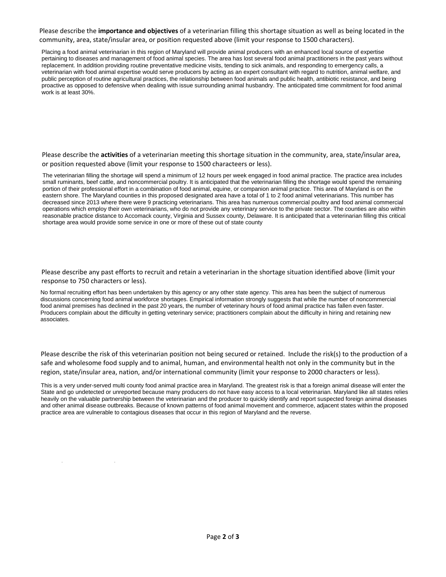Please describe the **importance and objectives** of a veterinarian filling this shortage situation as well as being located in the community, area, state/insular area, or position requested above (limit your response to 1500 characters).

Placing a food animal veterinarian in this region of Maryland will provide animal producers with an enhanced local source of expertise pertaining to diseases and management of food animal species. The area has lost several food animal practitioners in the past years without replacement. In addition providing routine preventative medicine visits, tending to sick animals, and responding to emergency calls, a veterinarian with food animal expertise would serve producers by acting as an expert consultant with regard to nutrition, animal welfare, and public perception of routine agricultural practices, the relationship between food animals and public health, antibiotic resistance, and being proactive as opposed to defensive when dealing with issue surrounding animal husbandry. The anticipated time commitment for food animal work is at least 30%.

 Please describe the **activities** of a veterinarian meeting this shortage situation in the community, area, state/insular area, or position requested above (limit your response to 1500 characteers or less).

The veterinarian filling the shortage will spend a minimum of 12 hours per week engaged in food animal practice. The practice area includes small ruminants, beef cattle, and noncommercial poultry. It is anticipated that the veterinarian filling the shortage would spend the remaining portion of their professional effort in a combination of food animal, equine, or companion animal practice. This area of Maryland is on the eastern shore. The Maryland counties in this proposed designated area have a total of 1 to 2 food animal veterinarians. This number has decreased since 2013 where there were 9 practicing veterinarians. This area has numerous commercial poultry and food animal commercial operations which employ their own veterinarians, who do not provide any veterinary service to the private sector. The counties are also within reasonable practice distance to Accomack county, Virginia and Sussex county, Delaware. It is anticipated that a veterinarian filling this critical shortage area would provide some service in one or more of these out of state county

 Please describe any past efforts to recruit and retain a veterinarian in the shortage situation identified above (limit your response to 750 characters or less).

No formal recruiting effort has been undertaken by this agency or any other state agency. This area has been the subject of numerous discussions concerning food animal workforce shortages. Empirical information strongly suggests that while the number of noncommercial food animal premises has declined in the past 20 years, the number of veterinary hours of food animal practice has fallen even faster. Producers complain about the difficulty in getting veterinary service; practitioners complain about the difficulty in hiring and retaining new associates.

 Please describe the risk of this veterinarian position not being secured or retained. Include the risk(s) to the production of a safe and wholesome food supply and to animal, human, and environmental health not only in the community but in the region, state/insular area, nation, and/or international community (limit your response to 2000 characters or less).

This is a very under-served multi county food animal practice area in Maryland. The greatest risk is that a foreign animal disease will enter the State and go undetected or unreported because many producers do not have easy access to a local veterinarian. Maryland like all states relies heavily on the valuable partnership between the veterinarian and the producer to quickly identify and report suspected foreign animal diseases and other animal disease outbreaks. Because of known patterns of food animal movement and commerce, adjacent states within the proposed practice area are vulnerable to contagious diseases that occur in this region of Maryland and the reverse.